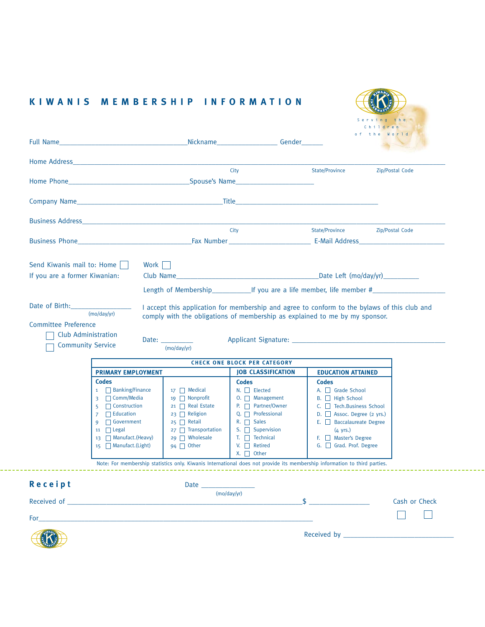|                                                    |                                                                                                                                                                                                                                     |                                                                                                                                                                                                | Full Name Gender Contact Contact Contact Contact Contact Contact Contact Contact Contact Contact Contact Contact Contact Contact Contact Contact Contact Contact Contact Contact Contact Contact Contact Contact Contact Conta                                                                                                                                       |                                                                                                                                                                                                                       | World<br>the    |  |
|----------------------------------------------------|-------------------------------------------------------------------------------------------------------------------------------------------------------------------------------------------------------------------------------------|------------------------------------------------------------------------------------------------------------------------------------------------------------------------------------------------|----------------------------------------------------------------------------------------------------------------------------------------------------------------------------------------------------------------------------------------------------------------------------------------------------------------------------------------------------------------------|-----------------------------------------------------------------------------------------------------------------------------------------------------------------------------------------------------------------------|-----------------|--|
|                                                    |                                                                                                                                                                                                                                     |                                                                                                                                                                                                |                                                                                                                                                                                                                                                                                                                                                                      |                                                                                                                                                                                                                       |                 |  |
|                                                    |                                                                                                                                                                                                                                     |                                                                                                                                                                                                | City                                                                                                                                                                                                                                                                                                                                                                 | State/Province                                                                                                                                                                                                        | Zip/Postal Code |  |
|                                                    |                                                                                                                                                                                                                                     |                                                                                                                                                                                                |                                                                                                                                                                                                                                                                                                                                                                      |                                                                                                                                                                                                                       |                 |  |
|                                                    |                                                                                                                                                                                                                                     |                                                                                                                                                                                                |                                                                                                                                                                                                                                                                                                                                                                      |                                                                                                                                                                                                                       |                 |  |
|                                                    |                                                                                                                                                                                                                                     |                                                                                                                                                                                                |                                                                                                                                                                                                                                                                                                                                                                      |                                                                                                                                                                                                                       |                 |  |
|                                                    |                                                                                                                                                                                                                                     | City                                                                                                                                                                                           |                                                                                                                                                                                                                                                                                                                                                                      | State/Province Zip/Postal Code                                                                                                                                                                                        |                 |  |
|                                                    |                                                                                                                                                                                                                                     |                                                                                                                                                                                                |                                                                                                                                                                                                                                                                                                                                                                      |                                                                                                                                                                                                                       |                 |  |
| Send Kiwanis mail to: Home                         |                                                                                                                                                                                                                                     | Work                                                                                                                                                                                           |                                                                                                                                                                                                                                                                                                                                                                      |                                                                                                                                                                                                                       |                 |  |
| If you are a former Kiwanian:                      |                                                                                                                                                                                                                                     |                                                                                                                                                                                                |                                                                                                                                                                                                                                                                                                                                                                      |                                                                                                                                                                                                                       |                 |  |
|                                                    |                                                                                                                                                                                                                                     |                                                                                                                                                                                                |                                                                                                                                                                                                                                                                                                                                                                      |                                                                                                                                                                                                                       |                 |  |
|                                                    | (mo/day/yr)<br>Club Administration                                                                                                                                                                                                  | Date: $\_\_$                                                                                                                                                                                   | I accept this application for membership and agree to conform to the bylaws of this club and<br>comply with the obligations of membership as explained to me by my sponsor.                                                                                                                                                                                          |                                                                                                                                                                                                                       |                 |  |
| <b>Community Service</b>                           |                                                                                                                                                                                                                                     | (mo/day/yr)                                                                                                                                                                                    | <b>CHECK ONE BLOCK PER CATEGORY</b>                                                                                                                                                                                                                                                                                                                                  |                                                                                                                                                                                                                       |                 |  |
| Date of Birth: 2008<br><b>Committee Preference</b> | <b>PRIMARY EMPLOYMENT</b>                                                                                                                                                                                                           |                                                                                                                                                                                                | <b>JOB CLASSIFICATION</b>                                                                                                                                                                                                                                                                                                                                            | <b>EDUCATION ATTAINED</b>                                                                                                                                                                                             |                 |  |
| Receipt<br>Received of _                           | <b>Codes</b><br>1 Banking/Finance<br>3 □ Comm/Media<br>$\Box$ Construction<br>5 <sup>1</sup><br>$\Box$ Education<br>$\overline{7}$<br>$\Box$ Government<br>9<br>11 $\Box$ Legal<br>13   Manufact. (Heavy)<br>$15$ Manufact. (Light) | $17 \Box$ Medical<br>19 $\Box$ Nonprofit<br>21 □ Real Estate<br>23 □ Religion<br>$25$ Retail<br>$27$ Transportation<br>29 $\Box$ Wholesale<br>94 $\Box$ Other<br>Date $\overline{\phantom{0}}$ | <b>Codes</b><br>$N.$ $\Box$ Elected<br>$0. \Box$ Management<br>P. Partner/Owner<br>Q. $\Box$ Professional<br>$R. \Box$ Sales<br>S. $\Box$ Supervision<br>$T.$ $\Box$ Technical<br>V. $\Box$ Retired<br>$X.$ $\Box$ Other<br>Note: For membership statistics only. Kiwanis International does not provide its membership information to third parties.<br>(mo/day/vr) | <b>Codes</b><br>A. Grade School<br>B. □ High School<br>C.   Tech.Business School<br>D. B Assoc. Degree (2 yrs.)<br>E. Baccalaureate Degree<br>$(4 \text{ yrs.})$<br>F. Master's Degree<br>G. Grad. Prof. Degree<br>\$ | Cash or Check   |  |

## **KIWANIS MEMBERSHIP INFORMATION**